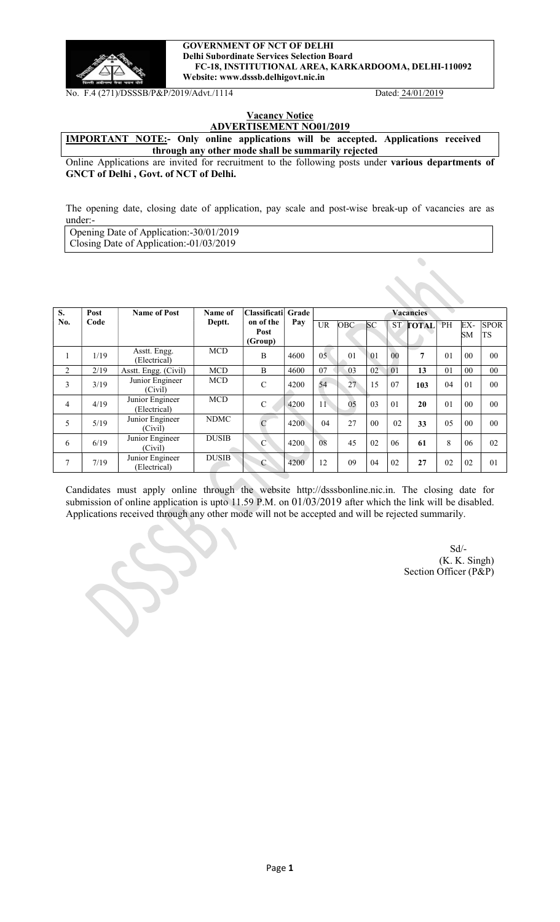

#### GOVERNMENT OF NCT OF DELHI Delhi Subordinate Services Selection Board FC-18, INSTITUTIONAL AREA, KARKARDOOMA, DELHI-110092 Website: www.dsssb.delhigovt.nic.in

No. F.4 (271)/DSSSB/P&P/2019/Advt./1114 Dated: 24/01/2019

 $\bullet$ 

### **Vacancy Notice** ADVERTISEMENT NO01/2019

IMPORTANT NOTE:- Only online applications will be accepted. Applications received through any other mode shall be summarily rejected

Online Applications are invited for recruitment to the following posts under various departments of GNCT of Delhi , Govt. of NCT of Delhi.

The opening date, closing date of application, pay scale and post-wise break-up of vacancies are as under:-

Opening Date of Application:-30/01/2019 Closing Date of Application:-01/03/2019

| S.           | Post | <b>Name of Post</b>             | Name of      | <b>Classificati</b>          | Grade | <b>Vacancies</b> |                |                 |                |              |                |                |                          |
|--------------|------|---------------------------------|--------------|------------------------------|-------|------------------|----------------|-----------------|----------------|--------------|----------------|----------------|--------------------------|
| No.          | Code |                                 | Deptt.       | on of the<br>Post<br>(Group) | Pay   | <b>UR</b>        | OBC            | <b>SC</b>       | <b>ST</b>      | <b>FOTAL</b> | PH             | EX-<br>SМ      | <b>SPOR</b><br><b>TS</b> |
| $\mathbf{I}$ | 1/19 | Asstt. Engg.<br>(Electrical)    | <b>MCD</b>   | B                            | 4600  | 0.5              | 0 <sub>1</sub> | $\overline{01}$ | 0 <sub>0</sub> | 7            | 0 <sub>1</sub> | 0 <sub>0</sub> | 0 <sub>0</sub>           |
| 2            | 2/19 | Asstt. Engg. (Civil)            | <b>MCD</b>   | B                            | 4600  | 07               | 03             | 0 <sub>2</sub>  | 01             | 13           | 0 <sub>1</sub> | 00             | 0 <sub>0</sub>           |
| 3            | 3/19 | Junior Engineer<br>(Civil)      | <b>MCD</b>   | C                            | 4200  | 54               | 27             | 15              | 07             | 103          | 04             | 01             | 0 <sub>0</sub>           |
| 4            | 4/19 | Junior Engineer<br>(Electrical) | <b>MCD</b>   | $\mathcal{C}$                | 4200  | 11               | 0 <sub>5</sub> | 03              | 01             | 20           | 0 <sub>1</sub> | 0 <sub>0</sub> | 0 <sub>0</sub>           |
| 5            | 5/19 | Junior Engineer<br>(Civil)      | <b>NDMC</b>  | $\mathbf C$                  | 4200  | 04               | 27             | 0 <sub>0</sub>  | 02             | 33           | 0.5            | 00             | 0 <sub>0</sub>           |
| 6            | 6/19 | Junior Engineer<br>(Civil)      | <b>DUSIB</b> | $\mathcal{C}$                | 4200  | 08               | 45             | 02              | 06             | 61           | 8              | 06             | 02                       |
| 7            | 7/19 | Junior Engineer<br>(Electrical) | <b>DUSIB</b> | $\mathcal{C}$                | 4200  | 12               | 09             | 04              | 02             | 27           | 02             | 02             | 0 <sub>1</sub>           |

Candidates must apply online through the website http://dsssbonline.nic.in. The closing date for submission of online application is upto 11.59 P.M. on 01/03/2019 after which the link will be disabled. Applications received through any other mode will not be accepted and will be rejected summarily.

Sd/-(K. K. Singh) Section Officer (P&P)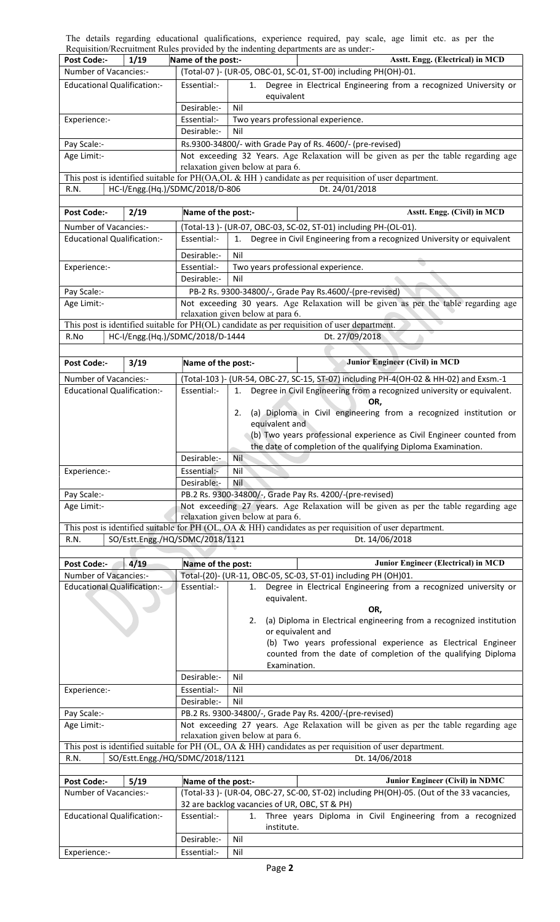The details regarding educational qualifications, experience required, pay scale, age limit etc. as per the Requisition/Recruitment Rules provided by the indenting departments are as under:-

|                                          | Requisition/Recruitment Rules provided by the maenting departments are as under:-                                        |                                                                                                            |  |  |  |  |  |  |
|------------------------------------------|--------------------------------------------------------------------------------------------------------------------------|------------------------------------------------------------------------------------------------------------|--|--|--|--|--|--|
| <b>Post Code:-</b><br>1/19               | Name of the post:-                                                                                                       | Asstt. Engg. (Electrical) in MCD                                                                           |  |  |  |  |  |  |
| Number of Vacancies:-                    |                                                                                                                          | (Total-07)- (UR-05, OBC-01, SC-01, ST-00) including PH(OH)-01.                                             |  |  |  |  |  |  |
| <b>Educational Qualification:-</b>       | Essential:-                                                                                                              | Degree in Electrical Engineering from a recognized University or<br>1.                                     |  |  |  |  |  |  |
|                                          |                                                                                                                          | equivalent                                                                                                 |  |  |  |  |  |  |
|                                          | Desirable:-                                                                                                              | Nil                                                                                                        |  |  |  |  |  |  |
|                                          |                                                                                                                          |                                                                                                            |  |  |  |  |  |  |
| Experience:-                             | Essential:-                                                                                                              | Two years professional experience.                                                                         |  |  |  |  |  |  |
|                                          | Desirable:-<br>Nil                                                                                                       |                                                                                                            |  |  |  |  |  |  |
| Pay Scale:-                              | Rs.9300-34800/- with Grade Pay of Rs. 4600/- (pre-revised)                                                               |                                                                                                            |  |  |  |  |  |  |
| Age Limit:-                              | Not exceeding 32 Years. Age Relaxation will be given as per the table regarding age                                      |                                                                                                            |  |  |  |  |  |  |
|                                          | relaxation given below at para 6.                                                                                        |                                                                                                            |  |  |  |  |  |  |
|                                          |                                                                                                                          | This post is identified suitable for PH(OA, OL & HH) candidate as per requisition of user department.      |  |  |  |  |  |  |
| HC-I/Engg.(Hq.)/SDMC/2018/D-806<br>R.N.  |                                                                                                                          | Dt. 24/01/2018                                                                                             |  |  |  |  |  |  |
|                                          |                                                                                                                          |                                                                                                            |  |  |  |  |  |  |
| 2/19<br><b>Post Code:-</b>               | Name of the post:-                                                                                                       | Asstt. Engg. (Civil) in MCD                                                                                |  |  |  |  |  |  |
| Number of Vacancies:-                    |                                                                                                                          | (Total-13)- (UR-07, OBC-03, SC-02, ST-01) including PH-(OL-01).                                            |  |  |  |  |  |  |
| <b>Educational Qualification:-</b>       | Essential:-                                                                                                              | Degree in Civil Engineering from a recognized University or equivalent<br>1.                               |  |  |  |  |  |  |
|                                          |                                                                                                                          |                                                                                                            |  |  |  |  |  |  |
|                                          | Desirable:-                                                                                                              | Nil                                                                                                        |  |  |  |  |  |  |
| Experience:-                             | Essential:-                                                                                                              | Two years professional experience.                                                                         |  |  |  |  |  |  |
|                                          | Desirable:-                                                                                                              | Nil                                                                                                        |  |  |  |  |  |  |
| Pay Scale:-                              |                                                                                                                          | PB-2 Rs. 9300-34800/-, Grade Pay Rs.4600/-(pre-revised)                                                    |  |  |  |  |  |  |
| Age Limit:-                              |                                                                                                                          | Not exceeding 30 years. Age Relaxation will be given as per the table regarding age                        |  |  |  |  |  |  |
|                                          |                                                                                                                          | relaxation given below at para 6.                                                                          |  |  |  |  |  |  |
|                                          |                                                                                                                          | This post is identified suitable for PH(OL) candidate as per requisition of user department.               |  |  |  |  |  |  |
| HC-I/Engg.(Hq.)/SDMC/2018/D-1444<br>R.No |                                                                                                                          | Dt. 27/09/2018                                                                                             |  |  |  |  |  |  |
|                                          |                                                                                                                          |                                                                                                            |  |  |  |  |  |  |
| 3/19<br><b>Post Code:-</b>               | Name of the post:-                                                                                                       | Junior Engineer (Civil) in MCD                                                                             |  |  |  |  |  |  |
|                                          |                                                                                                                          |                                                                                                            |  |  |  |  |  |  |
| Number of Vacancies:-                    |                                                                                                                          | (Total-103)- (UR-54, OBC-27, SC-15, ST-07) including PH-4(OH-02 & HH-02) and Exsm.-1                       |  |  |  |  |  |  |
| <b>Educational Qualification:-</b>       | Essential:-                                                                                                              | Degree in Civil Engineering from a recognized university or equivalent.<br>1.                              |  |  |  |  |  |  |
|                                          |                                                                                                                          | OR.                                                                                                        |  |  |  |  |  |  |
|                                          |                                                                                                                          | (a) Diploma in Civil engineering from a recognized institution or<br>2.                                    |  |  |  |  |  |  |
|                                          |                                                                                                                          | equivalent and                                                                                             |  |  |  |  |  |  |
|                                          |                                                                                                                          | (b) Two years professional experience as Civil Engineer counted from                                       |  |  |  |  |  |  |
|                                          |                                                                                                                          | the date of completion of the qualifying Diploma Examination.                                              |  |  |  |  |  |  |
|                                          | Desirable:-                                                                                                              | Nil                                                                                                        |  |  |  |  |  |  |
|                                          | Essential:-                                                                                                              | Nil                                                                                                        |  |  |  |  |  |  |
| Experience:-                             | Desirable:-                                                                                                              | <b>Nil</b>                                                                                                 |  |  |  |  |  |  |
|                                          |                                                                                                                          |                                                                                                            |  |  |  |  |  |  |
| Pay Scale:-                              |                                                                                                                          | PB.2 Rs. 9300-34800/-, Grade Pay Rs. 4200/-(pre-revised)                                                   |  |  |  |  |  |  |
| Age Limit:-                              | Not exceeding 27 years. Age Relaxation will be given as per the table regarding age<br>relaxation given below at para 6. |                                                                                                            |  |  |  |  |  |  |
|                                          | This post is identified suitable for PH (OL, OA & HH) candidates as per requisition of user department.                  |                                                                                                            |  |  |  |  |  |  |
|                                          |                                                                                                                          |                                                                                                            |  |  |  |  |  |  |
| SO/Estt.Engg./HQ/SDMC/2018/1121<br>R.N.  |                                                                                                                          | Dt. 14/06/2018                                                                                             |  |  |  |  |  |  |
|                                          |                                                                                                                          |                                                                                                            |  |  |  |  |  |  |
| 4/19<br><b>Post Code:-</b>               | Name of the post:                                                                                                        |                                                                                                            |  |  |  |  |  |  |
| Number of Vacancies:-                    |                                                                                                                          | <b>Junior Engineer (Electrical) in MCD</b>                                                                 |  |  |  |  |  |  |
|                                          |                                                                                                                          | Total-(20)- (UR-11, OBC-05, SC-03, ST-01) including PH (OH)01.                                             |  |  |  |  |  |  |
| <b>Educational Qualification:-</b>       | Essential:-                                                                                                              | Degree in Electrical Engineering from a recognized university or<br>1.                                     |  |  |  |  |  |  |
|                                          |                                                                                                                          | equivalent.                                                                                                |  |  |  |  |  |  |
|                                          |                                                                                                                          | OR,                                                                                                        |  |  |  |  |  |  |
|                                          |                                                                                                                          | (a) Diploma in Electrical engineering from a recognized institution<br>2.                                  |  |  |  |  |  |  |
|                                          |                                                                                                                          | or equivalent and                                                                                          |  |  |  |  |  |  |
|                                          |                                                                                                                          | (b) Two years professional experience as Electrical Engineer                                               |  |  |  |  |  |  |
|                                          |                                                                                                                          | counted from the date of completion of the qualifying Diploma                                              |  |  |  |  |  |  |
|                                          |                                                                                                                          | Examination.                                                                                               |  |  |  |  |  |  |
|                                          | Desirable:-                                                                                                              | Nil                                                                                                        |  |  |  |  |  |  |
|                                          |                                                                                                                          |                                                                                                            |  |  |  |  |  |  |
| Experience:-                             | Essential:-                                                                                                              | Nil                                                                                                        |  |  |  |  |  |  |
|                                          | Desirable:-                                                                                                              | Nil                                                                                                        |  |  |  |  |  |  |
| Pay Scale:-                              |                                                                                                                          | PB.2 Rs. 9300-34800/-, Grade Pay Rs. 4200/-(pre-revised)                                                   |  |  |  |  |  |  |
| Age Limit:-                              |                                                                                                                          | Not exceeding 27 years. Age Relaxation will be given as per the table regarding age                        |  |  |  |  |  |  |
|                                          |                                                                                                                          | relaxation given below at para 6.                                                                          |  |  |  |  |  |  |
|                                          |                                                                                                                          | This post is identified suitable for PH (OL, OA $\&$ HH) candidates as per requisition of user department. |  |  |  |  |  |  |
| SO/Estt.Engg./HQ/SDMC/2018/1121<br>R.N.  |                                                                                                                          | Dt. 14/06/2018                                                                                             |  |  |  |  |  |  |
|                                          |                                                                                                                          |                                                                                                            |  |  |  |  |  |  |
| <b>Post Code:-</b><br>5/19               | Name of the post:-                                                                                                       | Junior Engineer (Civil) in NDMC                                                                            |  |  |  |  |  |  |
| Number of Vacancies:-                    |                                                                                                                          | (Total-33)- (UR-04, OBC-27, SC-00, ST-02) including PH(OH)-05. (Out of the 33 vacancies,                   |  |  |  |  |  |  |
|                                          |                                                                                                                          | 32 are backlog vacancies of UR, OBC, ST & PH)                                                              |  |  |  |  |  |  |
| <b>Educational Qualification:-</b>       | Essential:-                                                                                                              | 1. Three years Diploma in Civil Engineering from a recognized                                              |  |  |  |  |  |  |
|                                          |                                                                                                                          | institute.                                                                                                 |  |  |  |  |  |  |
|                                          | Desirable:-                                                                                                              | Nil                                                                                                        |  |  |  |  |  |  |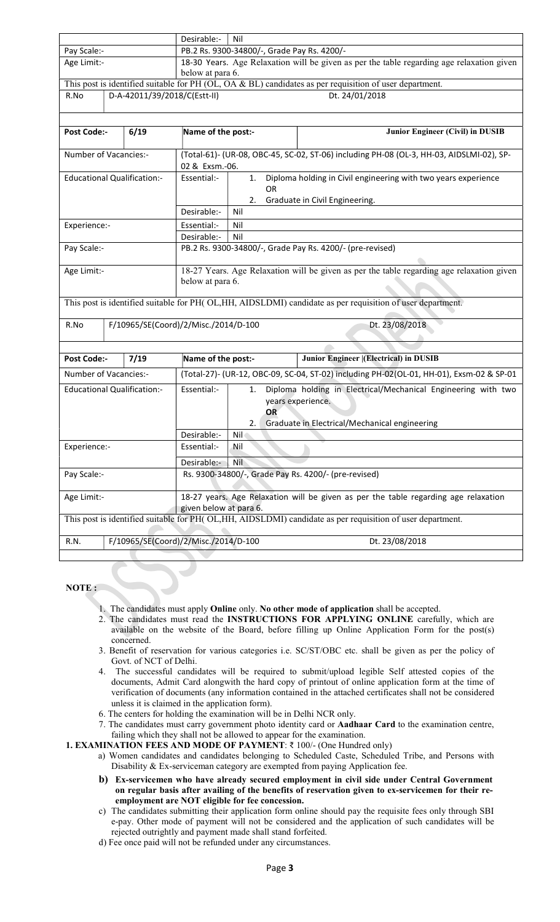|                                                        |                                    |                                      | Desirable:-<br>Nil                                                                                            |                                                                                                                |  |  |  |  |  |
|--------------------------------------------------------|------------------------------------|--------------------------------------|---------------------------------------------------------------------------------------------------------------|----------------------------------------------------------------------------------------------------------------|--|--|--|--|--|
| Pay Scale:-                                            |                                    |                                      | PB.2 Rs. 9300-34800/-, Grade Pay Rs. 4200/-                                                                   |                                                                                                                |  |  |  |  |  |
| Age Limit:-                                            |                                    | below at para 6.                     | 18-30 Years. Age Relaxation will be given as per the table regarding age relaxation given                     |                                                                                                                |  |  |  |  |  |
|                                                        |                                    |                                      | This post is identified suitable for PH (OL, OA & BL) candidates as per requisition of user department.       |                                                                                                                |  |  |  |  |  |
| D-A-42011/39/2018/C(Estt-II)<br>Dt. 24/01/2018<br>R.No |                                    |                                      |                                                                                                               |                                                                                                                |  |  |  |  |  |
|                                                        |                                    |                                      |                                                                                                               |                                                                                                                |  |  |  |  |  |
| <b>Post Code:-</b>                                     | 6/19                               | Name of the post:-                   |                                                                                                               | Junior Engineer (Civil) in DUSIB                                                                               |  |  |  |  |  |
|                                                        | Number of Vacancies:-              |                                      |                                                                                                               | (Total-61)- (UR-08, OBC-45, SC-02, ST-06) including PH-08 (OL-3, HH-03, AIDSLMI-02), SP-                       |  |  |  |  |  |
|                                                        |                                    | 02 & Exsm.-06.                       |                                                                                                               |                                                                                                                |  |  |  |  |  |
|                                                        | <b>Educational Qualification:-</b> | Essential:-                          | 1.                                                                                                            | Diploma holding in Civil engineering with two years experience                                                 |  |  |  |  |  |
|                                                        |                                    |                                      | OR                                                                                                            |                                                                                                                |  |  |  |  |  |
|                                                        |                                    |                                      | 2.                                                                                                            | Graduate in Civil Engineering.                                                                                 |  |  |  |  |  |
|                                                        |                                    | Desirable:-                          | Nil                                                                                                           |                                                                                                                |  |  |  |  |  |
| Experience:-                                           |                                    | Essential:-                          | Nil                                                                                                           |                                                                                                                |  |  |  |  |  |
|                                                        |                                    | Desirable:-                          | Nil                                                                                                           |                                                                                                                |  |  |  |  |  |
| Pay Scale:-                                            |                                    |                                      | PB.2 Rs. 9300-34800/-, Grade Pay Rs. 4200/- (pre-revised)                                                     |                                                                                                                |  |  |  |  |  |
| Age Limit:-                                            |                                    |                                      | 18-27 Years. Age Relaxation will be given as per the table regarding age relaxation given                     |                                                                                                                |  |  |  |  |  |
|                                                        |                                    |                                      | below at para 6.                                                                                              |                                                                                                                |  |  |  |  |  |
|                                                        |                                    |                                      |                                                                                                               | This post is identified suitable for PH(OL,HH, AIDSLDMI) candidate as per requisition of user department.      |  |  |  |  |  |
| R.No                                                   |                                    | F/10965/SE(Coord)/2/Misc./2014/D-100 |                                                                                                               | Dt. 23/08/2018                                                                                                 |  |  |  |  |  |
|                                                        |                                    |                                      |                                                                                                               |                                                                                                                |  |  |  |  |  |
| <b>Post Code:-</b>                                     | 7/19                               | Name of the post:-                   |                                                                                                               | Junior Engineer  (Electrical) in DUSIB                                                                         |  |  |  |  |  |
|                                                        | Number of Vacancies:-              |                                      |                                                                                                               | (Total-27)- (UR-12, OBC-09, SC-04, ST-02) including PH-02(OL-01, HH-01), Exsm-02 & SP-01                       |  |  |  |  |  |
|                                                        | <b>Educational Qualification:-</b> | Essential:-                          | 1.<br>years experience.<br><b>OR</b><br>2.1                                                                   | Diploma holding in Electrical/Mechanical Engineering with two<br>Graduate in Electrical/Mechanical engineering |  |  |  |  |  |
|                                                        |                                    | Desirable:-                          | Nil                                                                                                           |                                                                                                                |  |  |  |  |  |
| Experience:-                                           |                                    | Essential:-                          | Nil                                                                                                           |                                                                                                                |  |  |  |  |  |
|                                                        |                                    | Desirable:-                          | Nil                                                                                                           |                                                                                                                |  |  |  |  |  |
| Pay Scale:-                                            |                                    |                                      | Rs. 9300-34800/-, Grade Pay Rs. 4200/- (pre-revised)                                                          |                                                                                                                |  |  |  |  |  |
| Age Limit:-                                            |                                    |                                      | 18-27 years. Age Relaxation will be given as per the table regarding age relaxation<br>given below at para 6. |                                                                                                                |  |  |  |  |  |
|                                                        |                                    |                                      |                                                                                                               | This post is identified suitable for PH(OL,HH, AIDSLDMI) candidate as per requisition of user department.      |  |  |  |  |  |
| R.N.                                                   |                                    | F/10965/SE(Coord)/2/Misc./2014/D-100 |                                                                                                               | Dt. 23/08/2018                                                                                                 |  |  |  |  |  |
|                                                        |                                    |                                      |                                                                                                               |                                                                                                                |  |  |  |  |  |

### NOTE :

- 1. The candidates must apply Online only. No other mode of application shall be accepted.
- 2. The candidates must read the INSTRUCTIONS FOR APPLYING ONLINE carefully, which are available on the website of the Board, before filling up Online Application Form for the post(s) concerned.
- 3. Benefit of reservation for various categories i.e. SC/ST/OBC etc. shall be given as per the policy of Govt. of NCT of Delhi.
- 4. The successful candidates will be required to submit/upload legible Self attested copies of the documents, Admit Card alongwith the hard copy of printout of online application form at the time of verification of documents (any information contained in the attached certificates shall not be considered unless it is claimed in the application form).
- 6. The centers for holding the examination will be in Delhi NCR only.
- 7. The candidates must carry government photo identity card or Aadhaar Card to the examination centre, failing which they shall not be allowed to appear for the examination.

1. EXAMINATION FEES AND MODE OF PAYMENT: ₹ 100/- (One Hundred only)

- a) Women candidates and candidates belonging to Scheduled Caste, Scheduled Tribe, and Persons with Disability & Ex-serviceman category are exempted from paying Application fee.
- b) Ex-servicemen who have already secured employment in civil side under Central Government on regular basis after availing of the benefits of reservation given to ex-servicemen for their reemployment are NOT eligible for fee concession.
- c) The candidates submitting their application form online should pay the requisite fees only through SBI e-pay. Other mode of payment will not be considered and the application of such candidates will be rejected outrightly and payment made shall stand forfeited.
- d) Fee once paid will not be refunded under any circumstances.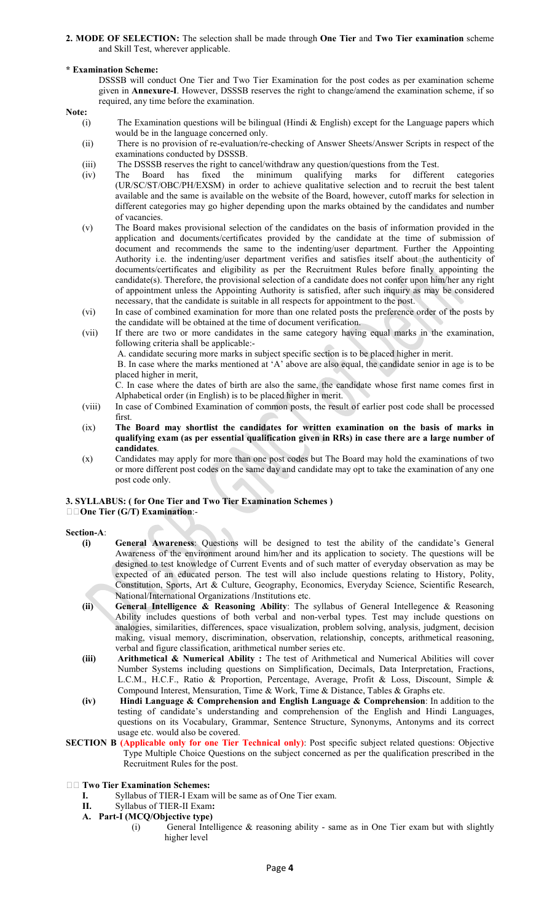2. MODE OF SELECTION: The selection shall be made through One Tier and Two Tier examination scheme and Skill Test, wherever applicable.

### \* Examination Scheme:

DSSSB will conduct One Tier and Two Tier Examination for the post codes as per examination scheme given in Annexure-I. However, DSSSB reserves the right to change/amend the examination scheme, if so required, any time before the examination.

Note:

- (i) The Examination questions will be bilingual (Hindi & English) except for the Language papers which would be in the language concerned only.
- (ii) There is no provision of re-evaluation/re-checking of Answer Sheets/Answer Scripts in respect of the examinations conducted by DSSSB.
- (iii) The DSSSB reserves the right to cancel/withdraw any question/questions from the Test.
- (iv) The Board has fixed the minimum qualifying marks for different categories (UR/SC/ST/OBC/PH/EXSM) in order to achieve qualitative selection and to recruit the best talent available and the same is available on the website of the Board, however, cutoff marks for selection in different categories may go higher depending upon the marks obtained by the candidates and number of vacancies.
- (v) The Board makes provisional selection of the candidates on the basis of information provided in the application and documents/certificates provided by the candidate at the time of submission of document and recommends the same to the indenting/user department. Further the Appointing Authority i.e. the indenting/user department verifies and satisfies itself about the authenticity of documents/certificates and eligibility as per the Recruitment Rules before finally appointing the candidate(s). Therefore, the provisional selection of a candidate does not confer upon him/her any right of appointment unless the Appointing Authority is satisfied, after such inquiry as may be considered necessary, that the candidate is suitable in all respects for appointment to the post.
- (vi) In case of combined examination for more than one related posts the preference order of the posts by the candidate will be obtained at the time of document verification.

(vii) If there are two or more candidates in the same category having equal marks in the examination, following criteria shall be applicable:-

A. candidate securing more marks in subject specific section is to be placed higher in merit.

 B. In case where the marks mentioned at 'A' above are also equal, the candidate senior in age is to be placed higher in merit,

C. In case where the dates of birth are also the same, the candidate whose first name comes first in Alphabetical order (in English) is to be placed higher in merit.

- (viii) In case of Combined Examination of common posts, the result of earlier post code shall be processed first.
- (ix) The Board may shortlist the candidates for written examination on the basis of marks in qualifying exam (as per essential qualification given in RRs) in case there are a large number of candidates.
- (x) Candidates may apply for more than one post codes but The Board may hold the examinations of two or more different post codes on the same day and candidate may opt to take the examination of any one post code only.

### 3. SYLLABUS: ( for One Tier and Two Tier Examination Schemes ) □□One Tier (G/T) Examination:-

- Section-A: (i) General Awareness: Questions will be designed to test the ability of the candidate's General Awareness of the environment around him/her and its application to society. The questions will be designed to test knowledge of Current Events and of such matter of everyday observation as may be expected of an educated person. The test will also include questions relating to History, Polity, Constitution, Sports, Art & Culture, Geography, Economics, Everyday Science, Scientific Research, National/International Organizations /Institutions etc.
	- (ii) General Intelligence & Reasoning Ability: The syllabus of General Intellegence & Reasoning Ability includes questions of both verbal and non-verbal types. Test may include questions on analogies, similarities, differences, space visualization, problem solving, analysis, judgment, decision making, visual memory, discrimination, observation, relationship, concepts, arithmetical reasoning, verbal and figure classification, arithmetical number series etc.
	- (iii) Arithmetical & Numerical Ability : The test of Arithmetical and Numerical Abilities will cover Number Systems including questions on Simplification, Decimals, Data Interpretation, Fractions, L.C.M., H.C.F., Ratio & Proportion, Percentage, Average, Profit & Loss, Discount, Simple & Compound Interest, Mensuration, Time & Work, Time & Distance, Tables & Graphs etc.
	- (iv) Hindi Language & Comprehension and English Language & Comprehension: In addition to the testing of candidate's understanding and comprehension of the English and Hindi Languages, questions on its Vocabulary, Grammar, Sentence Structure, Synonyms, Antonyms and its correct usage etc. would also be covered.
- SECTION B (Applicable only for one Tier Technical only): Post specific subject related questions: Objective Type Multiple Choice Questions on the subject concerned as per the qualification prescribed in the Recruitment Rules for the post.
- **THE TWO Tier Examination Schemes:** 
	- I. Syllabus of TIER-I Exam will be same as of One Tier exam.
	- II. Syllabus of TIER-II Exam:
	- A. Part-I (MCQ/Objective type)
		- (i) General Intelligence & reasoning ability same as in One Tier exam but with slightly higher level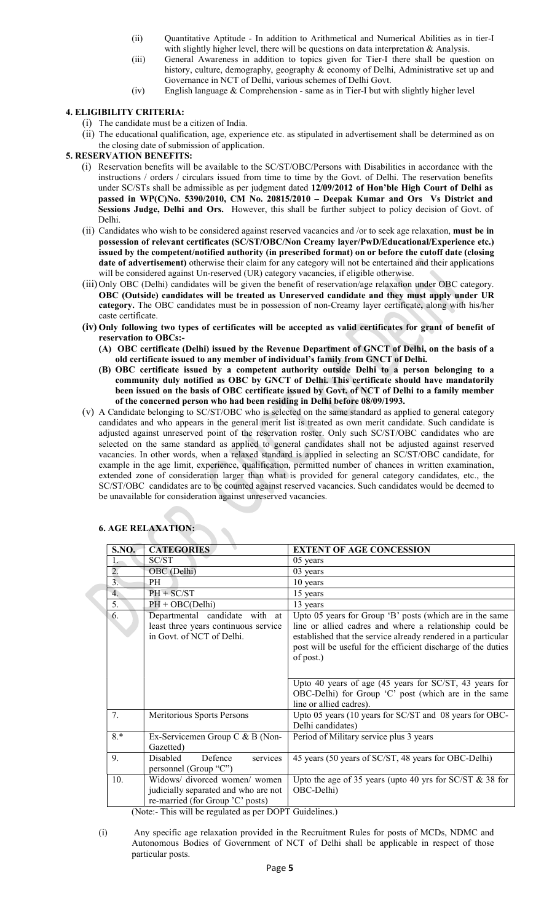- (ii) Quantitative Aptitude In addition to Arithmetical and Numerical Abilities as in tier-I with slightly higher level, there will be questions on data interpretation & Analysis.
- (iii) General Awareness in addition to topics given for Tier-I there shall be question on history, culture, demography, geography & economy of Delhi, Administrative set up and Governance in NCT of Delhi, various schemes of Delhi Govt.
- (iv) English language & Comprehension same as in Tier-I but with slightly higher level

# 4. ELIGIBILITY CRITERIA:

- (i) The candidate must be a citizen of India.
- (ii) The educational qualification, age, experience etc. as stipulated in advertisement shall be determined as on the closing date of submission of application.

### 5. RESERVATION BENEFITS:

- (i) Reservation benefits will be available to the SC/ST/OBC/Persons with Disabilities in accordance with the instructions / orders / circulars issued from time to time by the Govt. of Delhi. The reservation benefits under SC/STs shall be admissible as per judgment dated 12/09/2012 of Hon'ble High Court of Delhi as passed in WP(C)No. 5390/2010, CM No. 20815/2010 – Deepak Kumar and Ors Vs District and Sessions Judge, Delhi and Ors. However, this shall be further subject to policy decision of Govt. of Delhi.
- (ii) Candidates who wish to be considered against reserved vacancies and /or to seek age relaxation, must be in possession of relevant certificates (SC/ST/OBC/Non Creamy layer/PwD/Educational/Experience etc.) issued by the competent/notified authority (in prescribed format) on or before the cutoff date (closing date of advertisement) otherwise their claim for any category will not be entertained and their applications will be considered against Un-reserved (UR) category vacancies, if eligible otherwise.
- (iii) Only OBC (Delhi) candidates will be given the benefit of reservation/age relaxation under OBC category. OBC (Outside) candidates will be treated as Unreserved candidate and they must apply under UR category. The OBC candidates must be in possession of non-Creamy layer certificate, along with his/her caste certificate.
- (iv) Only following two types of certificates will be accepted as valid certificates for grant of benefit of reservation to OBCs:-
	- (A) OBC certificate (Delhi) issued by the Revenue Department of GNCT of Delhi, on the basis of a old certificate issued to any member of individual's family from GNCT of Delhi.
	- (B) OBC certificate issued by a competent authority outside Delhi to a person belonging to a community duly notified as OBC by GNCT of Delhi. This certificate should have mandatorily been issued on the basis of OBC certificate issued by Govt. of NCT of Delhi to a family member of the concerned person who had been residing in Delhi before 08/09/1993.
- (v) A Candidate belonging to SC/ST/OBC who is selected on the same standard as applied to general category candidates and who appears in the general merit list is treated as own merit candidate. Such candidate is adjusted against unreserved point of the reservation roster. Only such SC/ST/OBC candidates who are selected on the same standard as applied to general candidates shall not be adjusted against reserved vacancies. In other words, when a relaxed standard is applied in selecting an SC/ST/OBC candidate, for example in the age limit, experience, qualification, permitted number of chances in written examination, extended zone of consideration larger than what is provided for general category candidates, etc., the SC/ST/OBC candidates are to be counted against reserved vacancies. Such candidates would be deemed to be unavailable for consideration against unreserved vacancies.

| <b>S.NO.</b> | <b>CATEGORIES</b>                                                                                         | <b>EXTENT OF AGE CONCESSION</b>                                                                                                                                                                                                                                                                                                                                                      |
|--------------|-----------------------------------------------------------------------------------------------------------|--------------------------------------------------------------------------------------------------------------------------------------------------------------------------------------------------------------------------------------------------------------------------------------------------------------------------------------------------------------------------------------|
| 1.           | SC/ST                                                                                                     | 05 years                                                                                                                                                                                                                                                                                                                                                                             |
| 2.           | OBC (Delhi)                                                                                               | 03 years                                                                                                                                                                                                                                                                                                                                                                             |
| 3.           | PH                                                                                                        | 10 years                                                                                                                                                                                                                                                                                                                                                                             |
| 4.           | $PH + SC/ST$                                                                                              | 15 years                                                                                                                                                                                                                                                                                                                                                                             |
| 5.           | $PH + OBC(Delhi)$                                                                                         | 13 years                                                                                                                                                                                                                                                                                                                                                                             |
| 6.           | Departmental candidate with at<br>least three years continuous service<br>in Govt. of NCT of Delhi.       | Upto 05 years for Group 'B' posts (which are in the same<br>line or allied cadres and where a relationship could be<br>established that the service already rendered in a particular<br>post will be useful for the efficient discharge of the duties<br>of post.)<br>Upto 40 years of age (45 years for SC/ST, 43 years for<br>OBC-Delhi) for Group 'C' post (which are in the same |
| 7.           | Meritorious Sports Persons                                                                                | line or allied cadres).<br>Upto 05 years (10 years for SC/ST and 08 years for OBC-<br>Delhi candidates)                                                                                                                                                                                                                                                                              |
| $8.*$        | Ex-Servicemen Group C & B (Non-<br>Gazetted)                                                              | Period of Military service plus 3 years                                                                                                                                                                                                                                                                                                                                              |
| 9.           | services<br>Disabled<br>Defence<br>personnel (Group "C")                                                  | 45 years (50 years of SC/ST, 48 years for OBC-Delhi)                                                                                                                                                                                                                                                                                                                                 |
| 10.          | Widows/ divorced women/ women<br>judicially separated and who are not<br>re-married (for Group 'C' posts) | Upto the age of 35 years (upto 40 yrs for $SC/ST \& 38$ for<br>OBC-Delhi)                                                                                                                                                                                                                                                                                                            |

### 6. AGE RELAXATION:

(Note:- This will be regulated as per DOPT Guidelines.)

(i) Any specific age relaxation provided in the Recruitment Rules for posts of MCDs, NDMC and Autonomous Bodies of Government of NCT of Delhi shall be applicable in respect of those particular posts.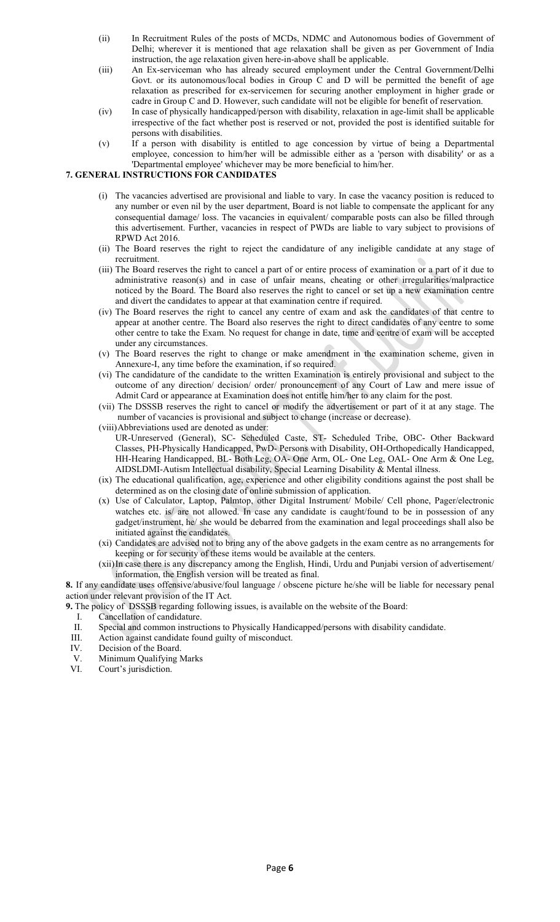- (ii) In Recruitment Rules of the posts of MCDs, NDMC and Autonomous bodies of Government of Delhi; wherever it is mentioned that age relaxation shall be given as per Government of India instruction, the age relaxation given here-in-above shall be applicable.
- (iii) An Ex-serviceman who has already secured employment under the Central Government/Delhi Govt. or its autonomous/local bodies in Group C and D will be permitted the benefit of age relaxation as prescribed for ex-servicemen for securing another employment in higher grade or cadre in Group C and D. However, such candidate will not be eligible for benefit of reservation.
- (iv) In case of physically handicapped/person with disability, relaxation in age-limit shall be applicable irrespective of the fact whether post is reserved or not, provided the post is identified suitable for persons with disabilities.
- (v) If a person with disability is entitled to age concession by virtue of being a Departmental employee, concession to him/her will be admissible either as a 'person with disability' or as a 'Departmental employee' whichever may be more beneficial to him/her.

# 7. GENERAL INSTRUCTIONS FOR CANDIDATES

- (i) The vacancies advertised are provisional and liable to vary. In case the vacancy position is reduced to any number or even nil by the user department, Board is not liable to compensate the applicant for any consequential damage/ loss. The vacancies in equivalent/ comparable posts can also be filled through this advertisement. Further, vacancies in respect of PWDs are liable to vary subject to provisions of RPWD Act 2016.
- (ii) The Board reserves the right to reject the candidature of any ineligible candidate at any stage of recruitment.
- (iii) The Board reserves the right to cancel a part of or entire process of examination or a part of it due to administrative reason(s) and in case of unfair means, cheating or other irregularities/malpractice noticed by the Board. The Board also reserves the right to cancel or set up a new examination centre and divert the candidates to appear at that examination centre if required.
- (iv) The Board reserves the right to cancel any centre of exam and ask the candidates of that centre to appear at another centre. The Board also reserves the right to direct candidates of any centre to some other centre to take the Exam. No request for change in date, time and centre of exam will be accepted under any circumstances.
- (v) The Board reserves the right to change or make amendment in the examination scheme, given in Annexure-I, any time before the examination, if so required.
- (vi) The candidature of the candidate to the written Examination is entirely provisional and subject to the outcome of any direction/ decision/ order/ pronouncement of any Court of Law and mere issue of Admit Card or appearance at Examination does not entitle him/her to any claim for the post.
- (vii) The DSSSB reserves the right to cancel or modify the advertisement or part of it at any stage. The number of vacancies is provisional and subject to change (increase or decrease).
- (viii)Abbreviations used are denoted as under: UR-Unreserved (General), SC- Scheduled Caste, ST- Scheduled Tribe, OBC- Other Backward Classes, PH-Physically Handicapped, PwD- Persons with Disability, OH-Orthopedically Handicapped, HH-Hearing Handicapped, BL- Both Leg, OA- One Arm, OL- One Leg, OAL- One Arm & One Leg, AIDSLDMI-Autism Intellectual disability, Special Learning Disability & Mental illness.
- (ix) The educational qualification, age, experience and other eligibility conditions against the post shall be determined as on the closing date of online submission of application.
- (x) Use of Calculator, Laptop, Palmtop, other Digital Instrument/ Mobile/ Cell phone, Pager/electronic watches etc. is/ are not allowed. In case any candidate is caught/found to be in possession of any gadget/instrument, he/ she would be debarred from the examination and legal proceedings shall also be initiated against the candidates.
- (xi) Candidates are advised not to bring any of the above gadgets in the exam centre as no arrangements for keeping or for security of these items would be available at the centers.
- (xii)In case there is any discrepancy among the English, Hindi, Urdu and Punjabi version of advertisement/ information, the English version will be treated as final.

8. If any candidate uses offensive/abusive/foul language / obscene picture he/she will be liable for necessary penal action under relevant provision of the IT Act.

- 9. The policy of DSSSB regarding following issues, is available on the website of the Board:
	- I. Cancellation of candidature.
	- II. Special and common instructions to Physically Handicapped/persons with disability candidate.
- III. Action against candidate found guilty of misconduct.
- IV. Decision of the Board.
- V. Minimum Qualifying Marks
- VI. Court's jurisdiction.